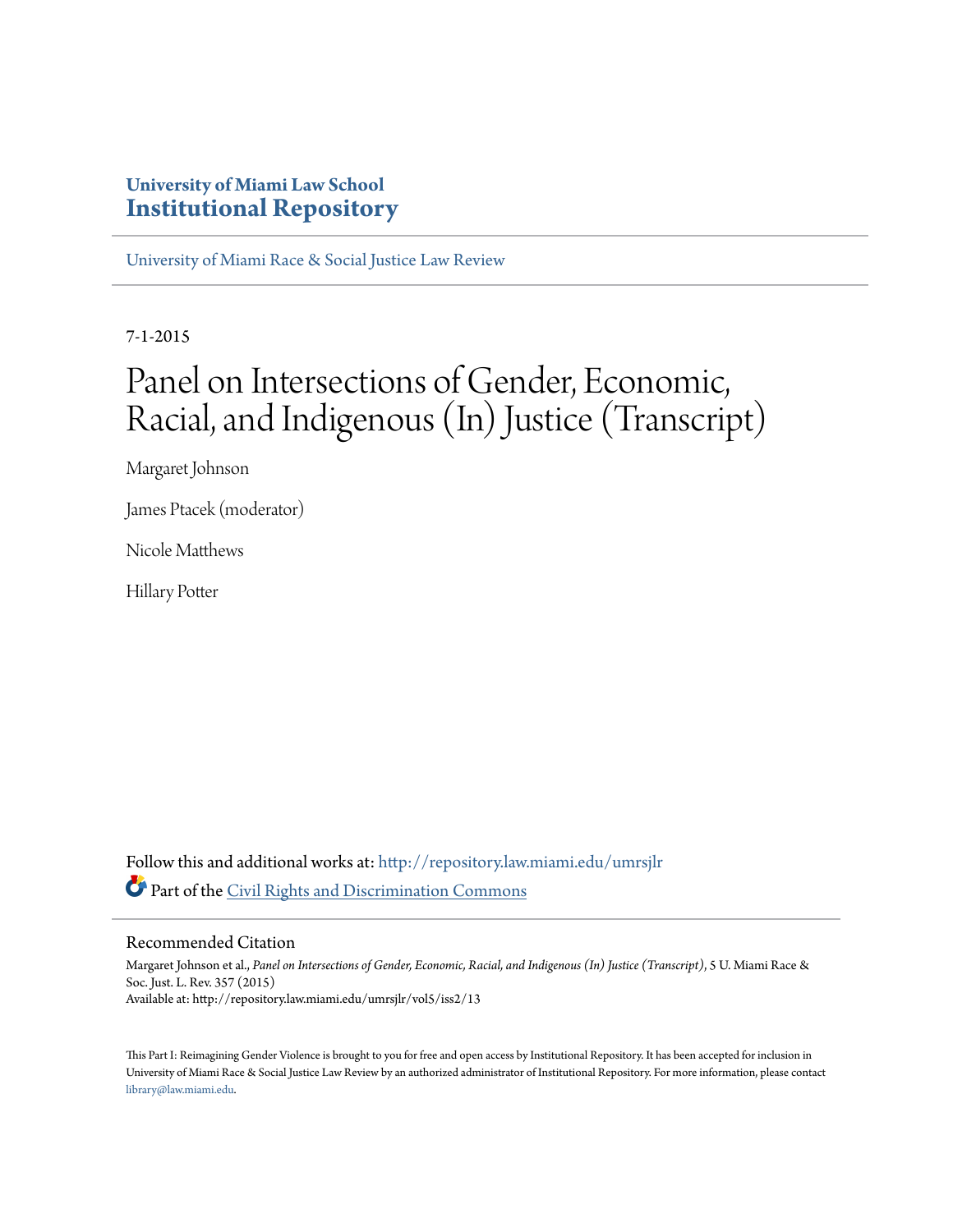### **University of Miami Law School [Institutional Repository](http://repository.law.miami.edu?utm_source=repository.law.miami.edu%2Fumrsjlr%2Fvol5%2Fiss2%2F13&utm_medium=PDF&utm_campaign=PDFCoverPages)**

[University of Miami Race & Social Justice Law Review](http://repository.law.miami.edu/umrsjlr?utm_source=repository.law.miami.edu%2Fumrsjlr%2Fvol5%2Fiss2%2F13&utm_medium=PDF&utm_campaign=PDFCoverPages)

7-1-2015

# Panel on Intersections of Gender, Economic, Racial, and Indigenous (In) Justice (Transcript)

Margaret Johnson

James Ptacek (moderator)

Nicole Matthews

Hillary Potter

Follow this and additional works at: [http://repository.law.miami.edu/umrsjlr](http://repository.law.miami.edu/umrsjlr?utm_source=repository.law.miami.edu%2Fumrsjlr%2Fvol5%2Fiss2%2F13&utm_medium=PDF&utm_campaign=PDFCoverPages) Part of the [Civil Rights and Discrimination Commons](http://network.bepress.com/hgg/discipline/585?utm_source=repository.law.miami.edu%2Fumrsjlr%2Fvol5%2Fiss2%2F13&utm_medium=PDF&utm_campaign=PDFCoverPages)

#### Recommended Citation

Margaret Johnson et al., *Panel on Intersections of Gender, Economic, Racial, and Indigenous (In) Justice (Transcript)*, 5 U. Miami Race & Soc. Just. L. Rev. 357 (2015) Available at: http://repository.law.miami.edu/umrsjlr/vol5/iss2/13

This Part I: Reimagining Gender Violence is brought to you for free and open access by Institutional Repository. It has been accepted for inclusion in University of Miami Race & Social Justice Law Review by an authorized administrator of Institutional Repository. For more information, please contact [library@law.miami.edu](mailto:library@law.miami.edu).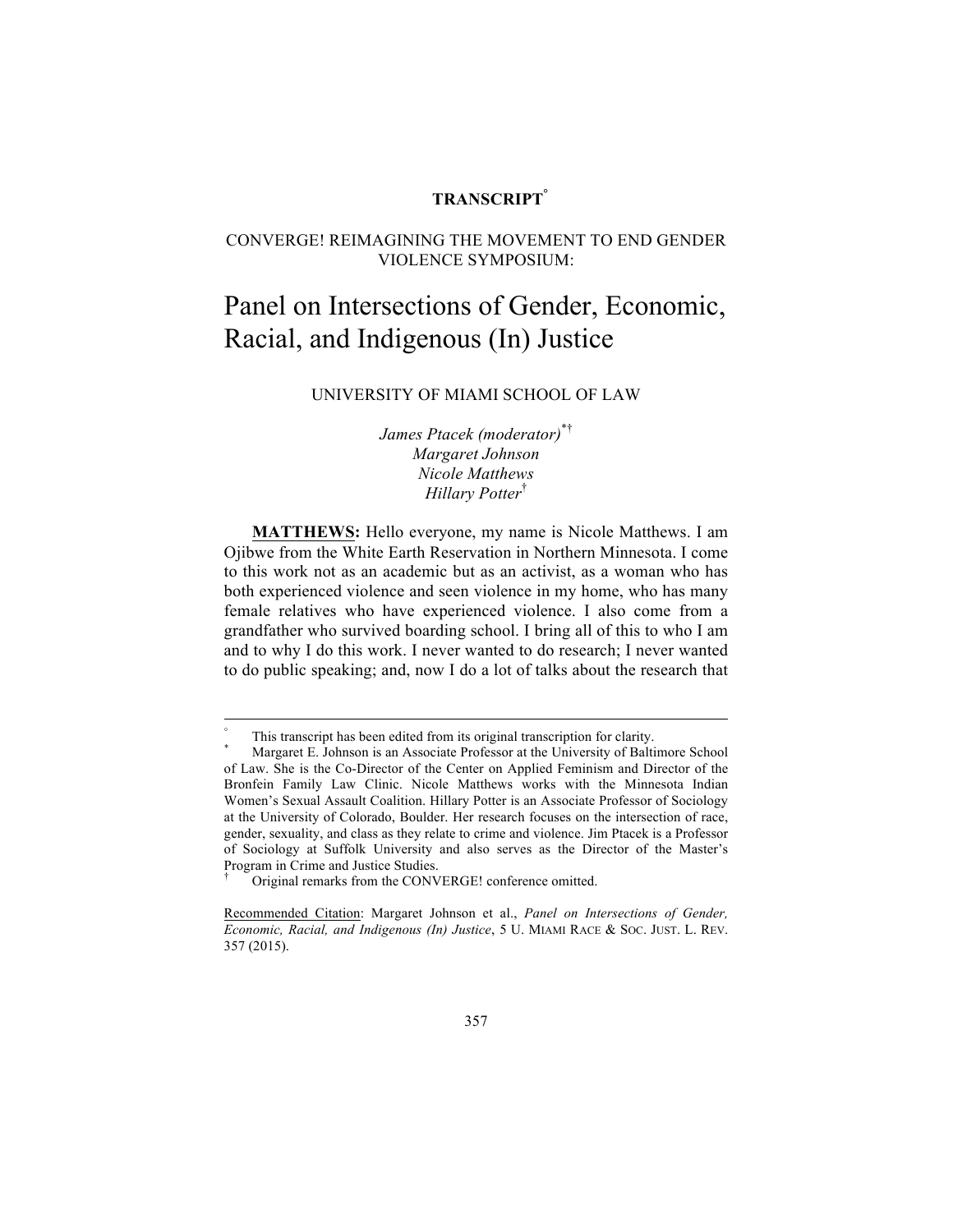#### **TRANSCRIPT°**

#### CONVERGE! REIMAGINING THE MOVEMENT TO END GENDER VIOLENCE SYMPOSIUM:

## Panel on Intersections of Gender, Economic, Racial, and Indigenous (In) Justice

#### UNIVERSITY OF MIAMI SCHOOL OF LAW

*James Ptacek (moderator)*\*† *Margaret Johnson Nicole Matthews Hillary Potter*†

**MATTHEWS:** Hello everyone, my name is Nicole Matthews. I am Ojibwe from the White Earth Reservation in Northern Minnesota. I come to this work not as an academic but as an activist, as a woman who has both experienced violence and seen violence in my home, who has many female relatives who have experienced violence. I also come from a grandfather who survived boarding school. I bring all of this to who I am and to why I do this work. I never wanted to do research; I never wanted to do public speaking; and, now I do a lot of talks about the research that

This transcript has been edited from its original transcription for clarity.<br>Margaret E. Johnson is an Associate Professor at the University of Baltimore School of Law. She is the Co-Director of the Center on Applied Feminism and Director of the Bronfein Family Law Clinic. Nicole Matthews works with the Minnesota Indian Women's Sexual Assault Coalition. Hillary Potter is an Associate Professor of Sociology at the University of Colorado, Boulder. Her research focuses on the intersection of race, gender, sexuality, and class as they relate to crime and violence. Jim Ptacek is a Professor of Sociology at Suffolk University and also serves as the Director of the Master's Program in Crime and Justice Studies.

<sup>†</sup> Original remarks from the CONVERGE! conference omitted.

Recommended Citation: Margaret Johnson et al., *Panel on Intersections of Gender, Economic, Racial, and Indigenous (In) Justice*, 5 U. MIAMI RACE & SOC. JUST. L. REV. 357 (2015).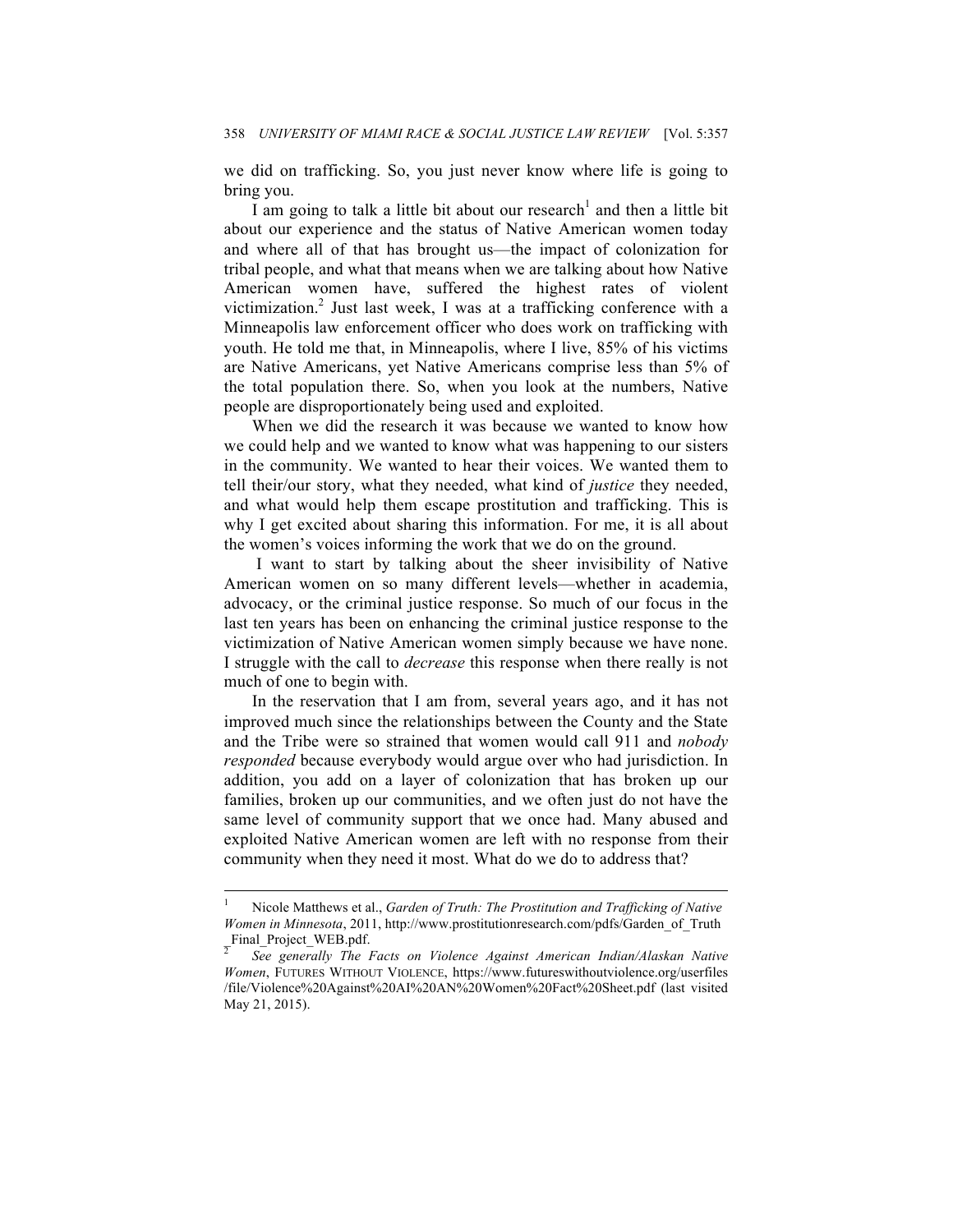we did on trafficking. So, you just never know where life is going to bring you.

I am going to talk a little bit about our research<sup>1</sup> and then a little bit about our experience and the status of Native American women today and where all of that has brought us—the impact of colonization for tribal people, and what that means when we are talking about how Native American women have, suffered the highest rates of violent victimization.<sup>2</sup> Just last week, I was at a trafficking conference with a Minneapolis law enforcement officer who does work on trafficking with youth. He told me that, in Minneapolis, where I live, 85% of his victims are Native Americans, yet Native Americans comprise less than 5% of the total population there. So, when you look at the numbers, Native people are disproportionately being used and exploited.

When we did the research it was because we wanted to know how we could help and we wanted to know what was happening to our sisters in the community. We wanted to hear their voices. We wanted them to tell their/our story, what they needed, what kind of *justice* they needed, and what would help them escape prostitution and trafficking. This is why I get excited about sharing this information. For me, it is all about the women's voices informing the work that we do on the ground.

I want to start by talking about the sheer invisibility of Native American women on so many different levels—whether in academia, advocacy, or the criminal justice response. So much of our focus in the last ten years has been on enhancing the criminal justice response to the victimization of Native American women simply because we have none. I struggle with the call to *decrease* this response when there really is not much of one to begin with.

In the reservation that I am from, several years ago, and it has not improved much since the relationships between the County and the State and the Tribe were so strained that women would call 911 and *nobody responded* because everybody would argue over who had jurisdiction. In addition, you add on a layer of colonization that has broken up our families, broken up our communities, and we often just do not have the same level of community support that we once had. Many abused and exploited Native American women are left with no response from their community when they need it most. What do we do to address that?

 $\frac{1}{1}$  Nicole Matthews et al., *Garden of Truth: The Prostitution and Trafficking of Native Women in Minnesota*, 2011, http://www.prostitutionresearch.com/pdfs/Garden\_of\_Truth  $\frac{201}{2}$ Final\_Project\_WEB.pdf.

<sup>2</sup> *See generally The Facts on Violence Against American Indian/Alaskan Native Women*, FUTURES WITHOUT VIOLENCE, https://www.futureswithoutviolence.org/userfiles /file/Violence%20Against%20AI%20AN%20Women%20Fact%20Sheet.pdf (last visited May 21, 2015).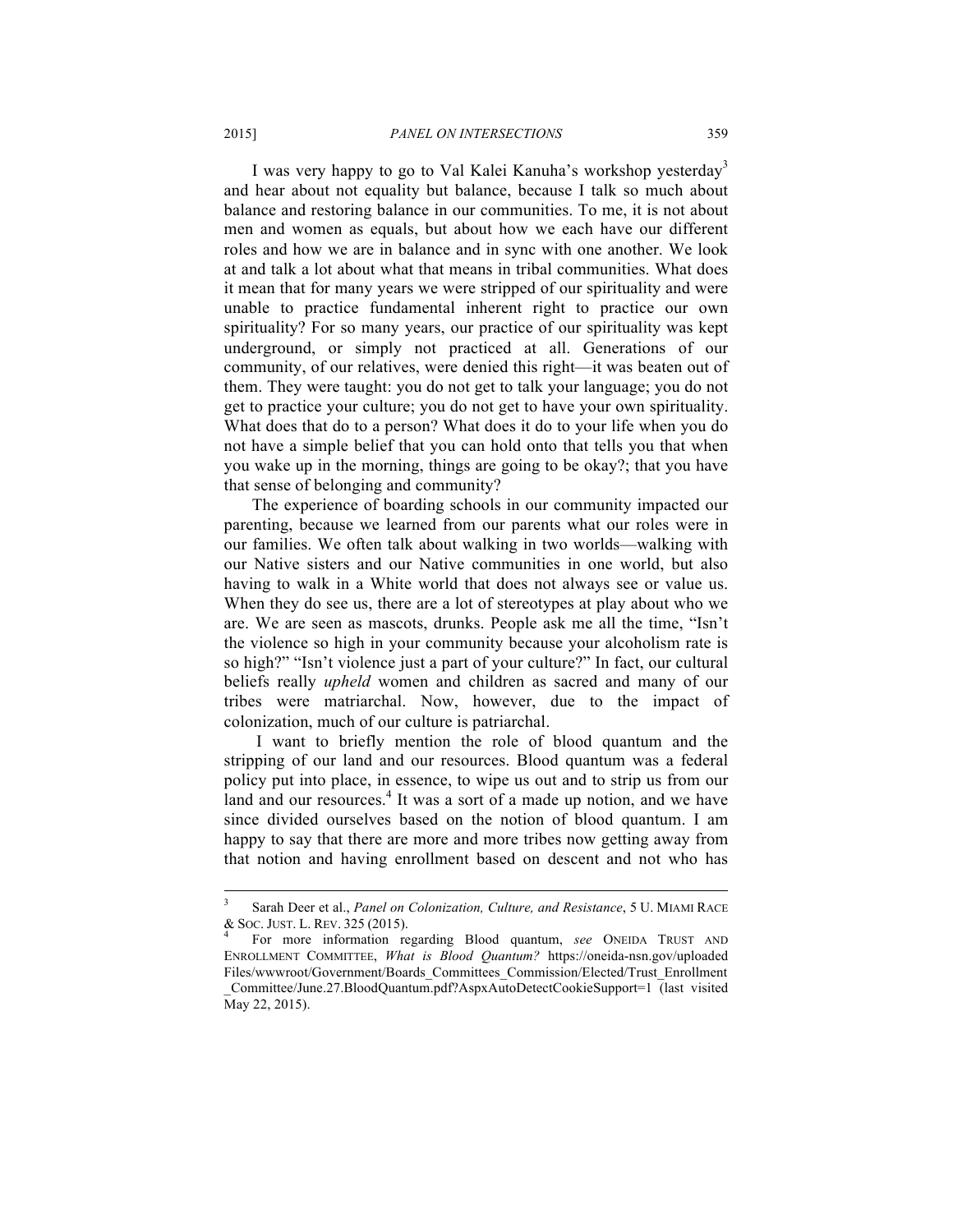I was very happy to go to Val Kalei Kanuha's workshop yesterday<sup>3</sup> and hear about not equality but balance, because I talk so much about balance and restoring balance in our communities. To me, it is not about men and women as equals, but about how we each have our different roles and how we are in balance and in sync with one another. We look at and talk a lot about what that means in tribal communities. What does it mean that for many years we were stripped of our spirituality and were unable to practice fundamental inherent right to practice our own spirituality? For so many years, our practice of our spirituality was kept underground, or simply not practiced at all. Generations of our community, of our relatives, were denied this right—it was beaten out of them. They were taught: you do not get to talk your language; you do not get to practice your culture; you do not get to have your own spirituality. What does that do to a person? What does it do to your life when you do not have a simple belief that you can hold onto that tells you that when you wake up in the morning, things are going to be okay?; that you have that sense of belonging and community?

The experience of boarding schools in our community impacted our parenting, because we learned from our parents what our roles were in our families. We often talk about walking in two worlds—walking with our Native sisters and our Native communities in one world, but also having to walk in a White world that does not always see or value us. When they do see us, there are a lot of stereotypes at play about who we are. We are seen as mascots, drunks. People ask me all the time, "Isn't the violence so high in your community because your alcoholism rate is so high?" "Isn't violence just a part of your culture?" In fact, our cultural beliefs really *upheld* women and children as sacred and many of our tribes were matriarchal. Now, however, due to the impact of colonization, much of our culture is patriarchal.

I want to briefly mention the role of blood quantum and the stripping of our land and our resources. Blood quantum was a federal policy put into place, in essence, to wipe us out and to strip us from our land and our resources.<sup>4</sup> It was a sort of a made up notion, and we have since divided ourselves based on the notion of blood quantum. I am happy to say that there are more and more tribes now getting away from that notion and having enrollment based on descent and not who has

 <sup>3</sup> Sarah Deer et al., *Panel on Colonization, Culture, and Resistance*, 5 U. MIAMI RACE & SOC. JUST. L. REV. <sup>325</sup> (2015). <sup>4</sup> For more information regarding Blood quantum, *see* ONEIDA TRUST AND

ENROLLMENT COMMITTEE, *What is Blood Quantum?* https://oneida-nsn.gov/uploaded Files/wwwroot/Government/Boards\_Committees\_Commission/Elected/Trust\_Enrollment \_Committee/June.27.BloodQuantum.pdf?AspxAutoDetectCookieSupport=1 (last visited May 22, 2015).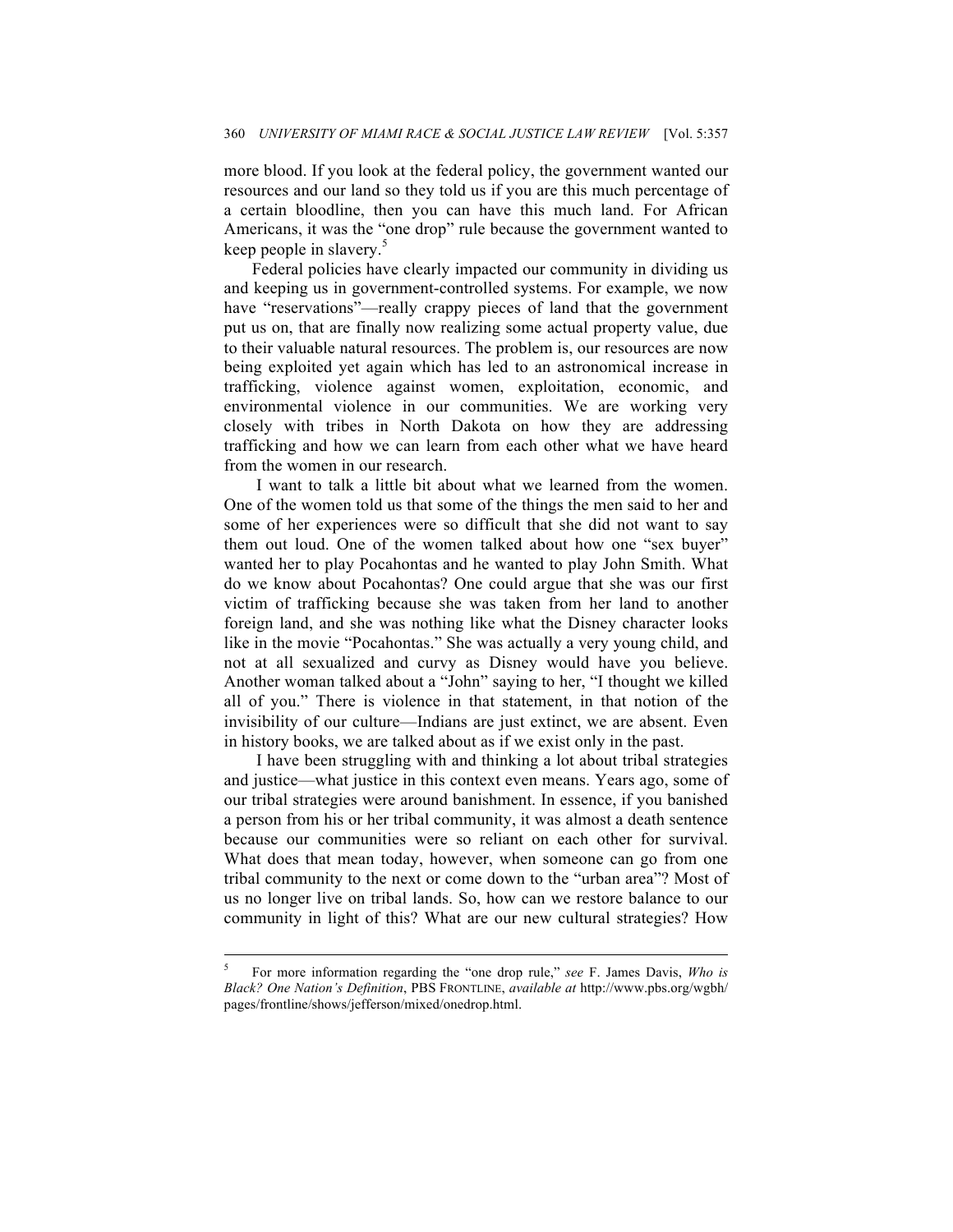more blood. If you look at the federal policy, the government wanted our resources and our land so they told us if you are this much percentage of a certain bloodline, then you can have this much land. For African Americans, it was the "one drop" rule because the government wanted to keep people in slavery. 5

Federal policies have clearly impacted our community in dividing us and keeping us in government-controlled systems. For example, we now have "reservations"—really crappy pieces of land that the government put us on, that are finally now realizing some actual property value, due to their valuable natural resources. The problem is, our resources are now being exploited yet again which has led to an astronomical increase in trafficking, violence against women, exploitation, economic, and environmental violence in our communities. We are working very closely with tribes in North Dakota on how they are addressing trafficking and how we can learn from each other what we have heard from the women in our research.

I want to talk a little bit about what we learned from the women. One of the women told us that some of the things the men said to her and some of her experiences were so difficult that she did not want to say them out loud. One of the women talked about how one "sex buyer" wanted her to play Pocahontas and he wanted to play John Smith. What do we know about Pocahontas? One could argue that she was our first victim of trafficking because she was taken from her land to another foreign land, and she was nothing like what the Disney character looks like in the movie "Pocahontas." She was actually a very young child, and not at all sexualized and curvy as Disney would have you believe. Another woman talked about a "John" saying to her, "I thought we killed all of you." There is violence in that statement, in that notion of the invisibility of our culture—Indians are just extinct, we are absent. Even in history books, we are talked about as if we exist only in the past.

I have been struggling with and thinking a lot about tribal strategies and justice—what justice in this context even means. Years ago, some of our tribal strategies were around banishment. In essence, if you banished a person from his or her tribal community, it was almost a death sentence because our communities were so reliant on each other for survival. What does that mean today, however, when someone can go from one tribal community to the next or come down to the "urban area"? Most of us no longer live on tribal lands. So, how can we restore balance to our community in light of this? What are our new cultural strategies? How

 <sup>5</sup> For more information regarding the "one drop rule," *see* F. James Davis, *Who is Black? One Nation's Definition*, PBS FRONTLINE, *available at* http://www.pbs.org/wgbh/ pages/frontline/shows/jefferson/mixed/onedrop.html.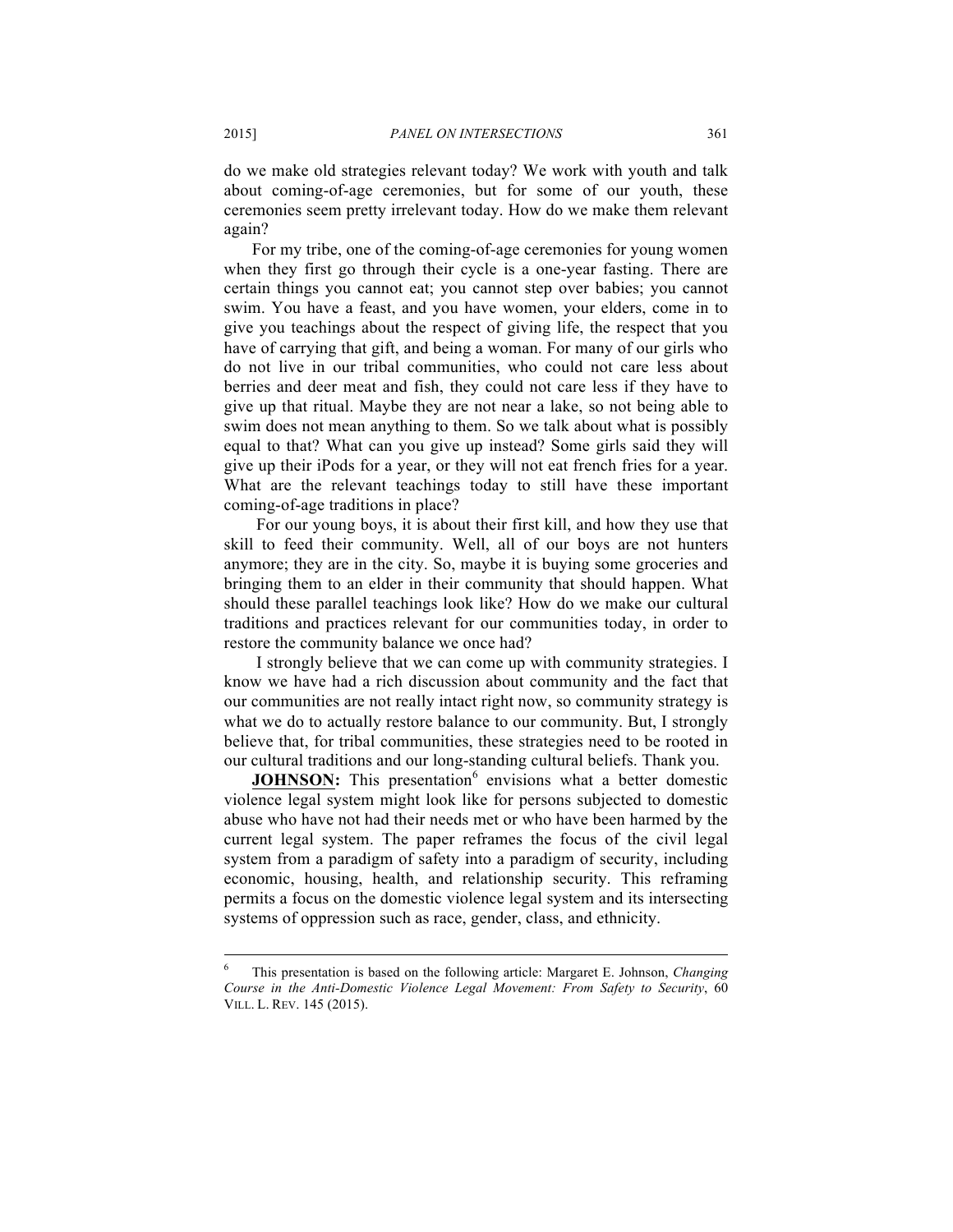do we make old strategies relevant today? We work with youth and talk about coming-of-age ceremonies, but for some of our youth, these ceremonies seem pretty irrelevant today. How do we make them relevant again?

For my tribe, one of the coming-of-age ceremonies for young women when they first go through their cycle is a one-year fasting. There are certain things you cannot eat; you cannot step over babies; you cannot swim. You have a feast, and you have women, your elders, come in to give you teachings about the respect of giving life, the respect that you have of carrying that gift, and being a woman. For many of our girls who do not live in our tribal communities, who could not care less about berries and deer meat and fish, they could not care less if they have to give up that ritual. Maybe they are not near a lake, so not being able to swim does not mean anything to them. So we talk about what is possibly equal to that? What can you give up instead? Some girls said they will give up their iPods for a year, or they will not eat french fries for a year. What are the relevant teachings today to still have these important coming-of-age traditions in place?

For our young boys, it is about their first kill, and how they use that skill to feed their community. Well, all of our boys are not hunters anymore; they are in the city. So, maybe it is buying some groceries and bringing them to an elder in their community that should happen. What should these parallel teachings look like? How do we make our cultural traditions and practices relevant for our communities today, in order to restore the community balance we once had?

I strongly believe that we can come up with community strategies. I know we have had a rich discussion about community and the fact that our communities are not really intact right now, so community strategy is what we do to actually restore balance to our community. But, I strongly believe that, for tribal communities, these strategies need to be rooted in our cultural traditions and our long-standing cultural beliefs. Thank you.

**JOHNSON:** This presentation<sup>6</sup> envisions what a better domestic violence legal system might look like for persons subjected to domestic abuse who have not had their needs met or who have been harmed by the current legal system. The paper reframes the focus of the civil legal system from a paradigm of safety into a paradigm of security, including economic, housing, health, and relationship security. This reframing permits a focus on the domestic violence legal system and its intersecting systems of oppression such as race, gender, class, and ethnicity.

 <sup>6</sup> This presentation is based on the following article: Margaret E. Johnson, *Changing Course in the Anti-Domestic Violence Legal Movement: From Safety to Security*, 60 VILL. L. REV. 145 (2015).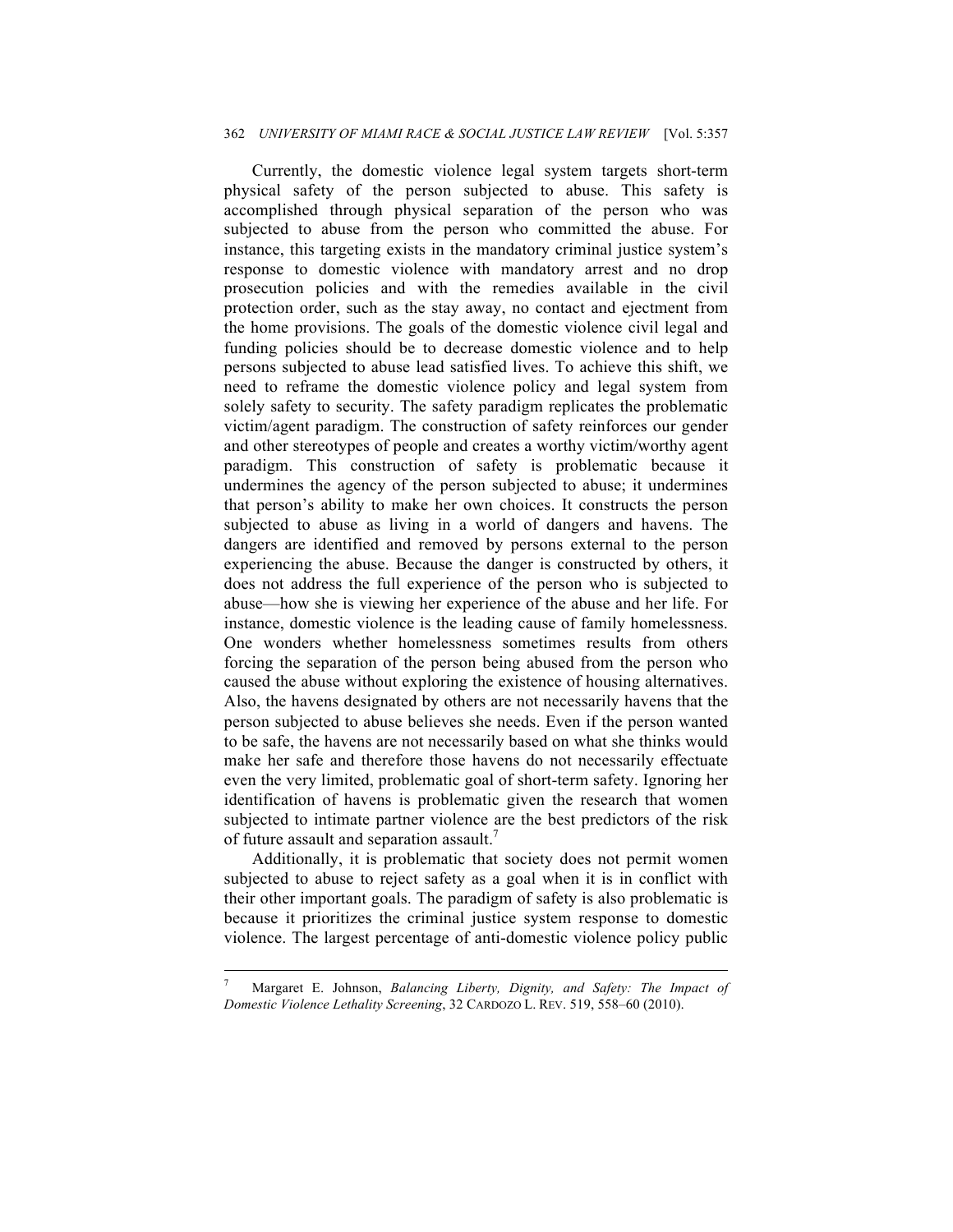#### 362 *UNIVERSITY OF MIAMI RACE & SOCIAL JUSTICE LAW REVIEW* [Vol. 5:357

Currently, the domestic violence legal system targets short-term physical safety of the person subjected to abuse. This safety is accomplished through physical separation of the person who was subjected to abuse from the person who committed the abuse. For instance, this targeting exists in the mandatory criminal justice system's response to domestic violence with mandatory arrest and no drop prosecution policies and with the remedies available in the civil protection order, such as the stay away, no contact and ejectment from the home provisions. The goals of the domestic violence civil legal and funding policies should be to decrease domestic violence and to help persons subjected to abuse lead satisfied lives. To achieve this shift, we need to reframe the domestic violence policy and legal system from solely safety to security. The safety paradigm replicates the problematic victim/agent paradigm. The construction of safety reinforces our gender and other stereotypes of people and creates a worthy victim/worthy agent paradigm. This construction of safety is problematic because it undermines the agency of the person subjected to abuse; it undermines that person's ability to make her own choices. It constructs the person subjected to abuse as living in a world of dangers and havens. The dangers are identified and removed by persons external to the person experiencing the abuse. Because the danger is constructed by others, it does not address the full experience of the person who is subjected to abuse—how she is viewing her experience of the abuse and her life. For instance, domestic violence is the leading cause of family homelessness. One wonders whether homelessness sometimes results from others forcing the separation of the person being abused from the person who caused the abuse without exploring the existence of housing alternatives. Also, the havens designated by others are not necessarily havens that the person subjected to abuse believes she needs. Even if the person wanted to be safe, the havens are not necessarily based on what she thinks would make her safe and therefore those havens do not necessarily effectuate even the very limited, problematic goal of short-term safety. Ignoring her identification of havens is problematic given the research that women subjected to intimate partner violence are the best predictors of the risk of future assault and separation assault.<sup>7</sup>

Additionally, it is problematic that society does not permit women subjected to abuse to reject safety as a goal when it is in conflict with their other important goals. The paradigm of safety is also problematic is because it prioritizes the criminal justice system response to domestic violence. The largest percentage of anti-domestic violence policy public

 <sup>7</sup> Margaret E. Johnson, *Balancing Liberty, Dignity, and Safety: The Impact of Domestic Violence Lethality Screening*, 32 CARDOZO L. REV. 519, 558–60 (2010).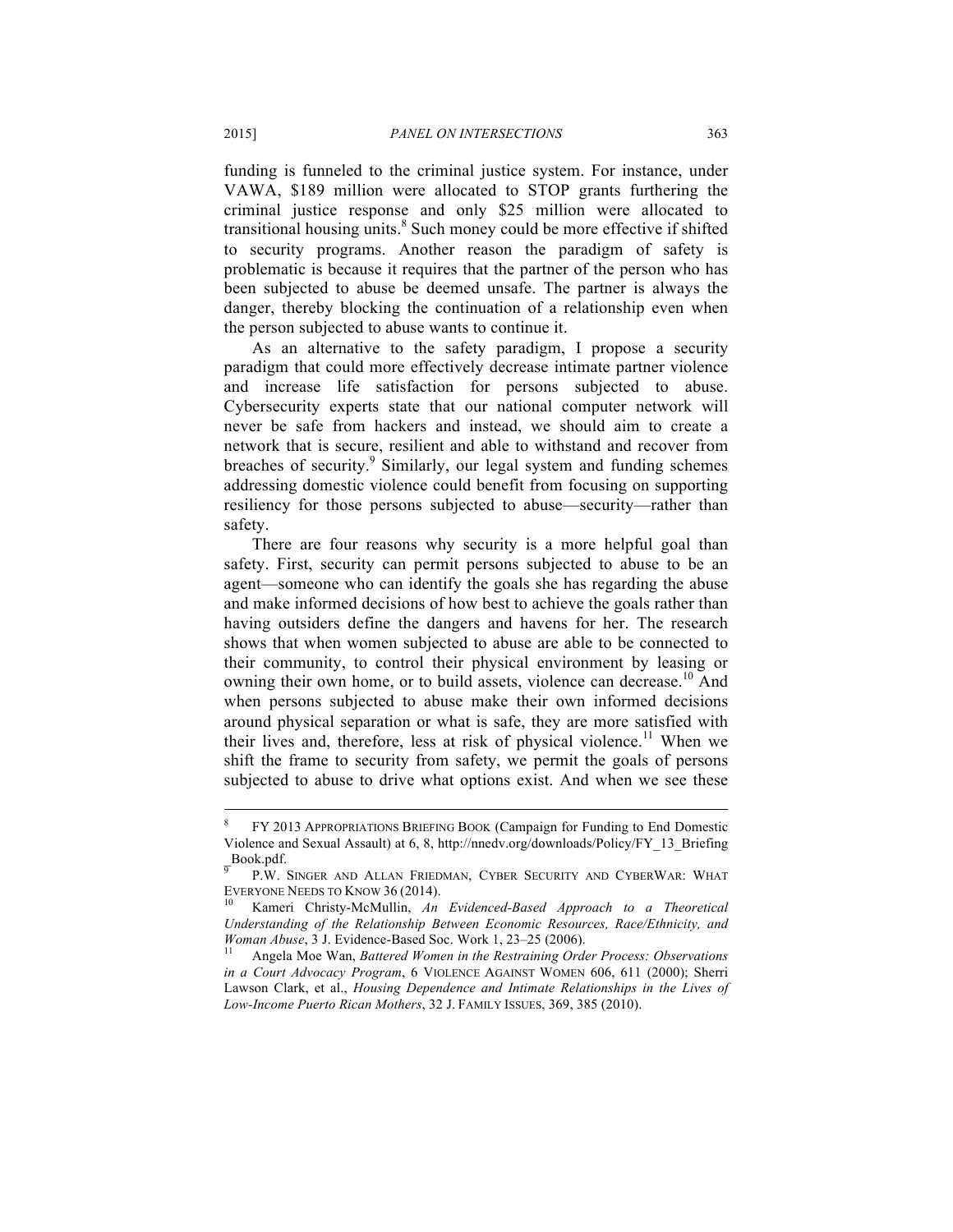funding is funneled to the criminal justice system. For instance, under VAWA, \$189 million were allocated to STOP grants furthering the criminal justice response and only \$25 million were allocated to transitional housing units.<sup>8</sup> Such money could be more effective if shifted to security programs. Another reason the paradigm of safety is problematic is because it requires that the partner of the person who has been subjected to abuse be deemed unsafe. The partner is always the danger, thereby blocking the continuation of a relationship even when the person subjected to abuse wants to continue it.

As an alternative to the safety paradigm, I propose a security paradigm that could more effectively decrease intimate partner violence and increase life satisfaction for persons subjected to abuse. Cybersecurity experts state that our national computer network will never be safe from hackers and instead, we should aim to create a network that is secure, resilient and able to withstand and recover from breaches of security.<sup>9</sup> Similarly, our legal system and funding schemes addressing domestic violence could benefit from focusing on supporting resiliency for those persons subjected to abuse—security—rather than safety.

There are four reasons why security is a more helpful goal than safety. First, security can permit persons subjected to abuse to be an agent—someone who can identify the goals she has regarding the abuse and make informed decisions of how best to achieve the goals rather than having outsiders define the dangers and havens for her. The research shows that when women subjected to abuse are able to be connected to their community, to control their physical environment by leasing or owning their own home, or to build assets, violence can decrease.<sup>10</sup> And when persons subjected to abuse make their own informed decisions around physical separation or what is safe, they are more satisfied with their lives and, therefore, less at risk of physical violence.<sup>11</sup> When we shift the frame to security from safety, we permit the goals of persons subjected to abuse to drive what options exist. And when we see these

 <sup>8</sup> FY <sup>2013</sup> APPROPRIATIONS BRIEFING BOOK (Campaign for Funding to End Domestic Violence and Sexual Assault) at 6, 8, http://nnedv.org/downloads/Policy/FY\_13\_Briefing Book.pdf.<br><sup>9</sup> P.W. Singer and Allan Friedman, Cyber Security and CyberWar: What

EVERYONE NEEDS TO KNOW 36 (2014).<br><sup>10</sup> Kameri Christy-McMullin, *An Evidenced-Based Approach to a Theoretical* 

*Understanding of the Relationship Between Economic Resources, Race/Ethnicity, and Woman Abuse*, 3 J. Evidence-Based Soc. Work 1, 23–25 (2006).<br><sup>11</sup> Angela Moe Wan, *Battered Women in the Restraining Order Process: Observations* 

*in a Court Advocacy Program*, 6 VIOLENCE AGAINST WOMEN 606, 611 (2000); Sherri Lawson Clark, et al., *Housing Dependence and Intimate Relationships in the Lives of Low-Income Puerto Rican Mothers*, 32 J. FAMILY ISSUES, 369, 385 (2010).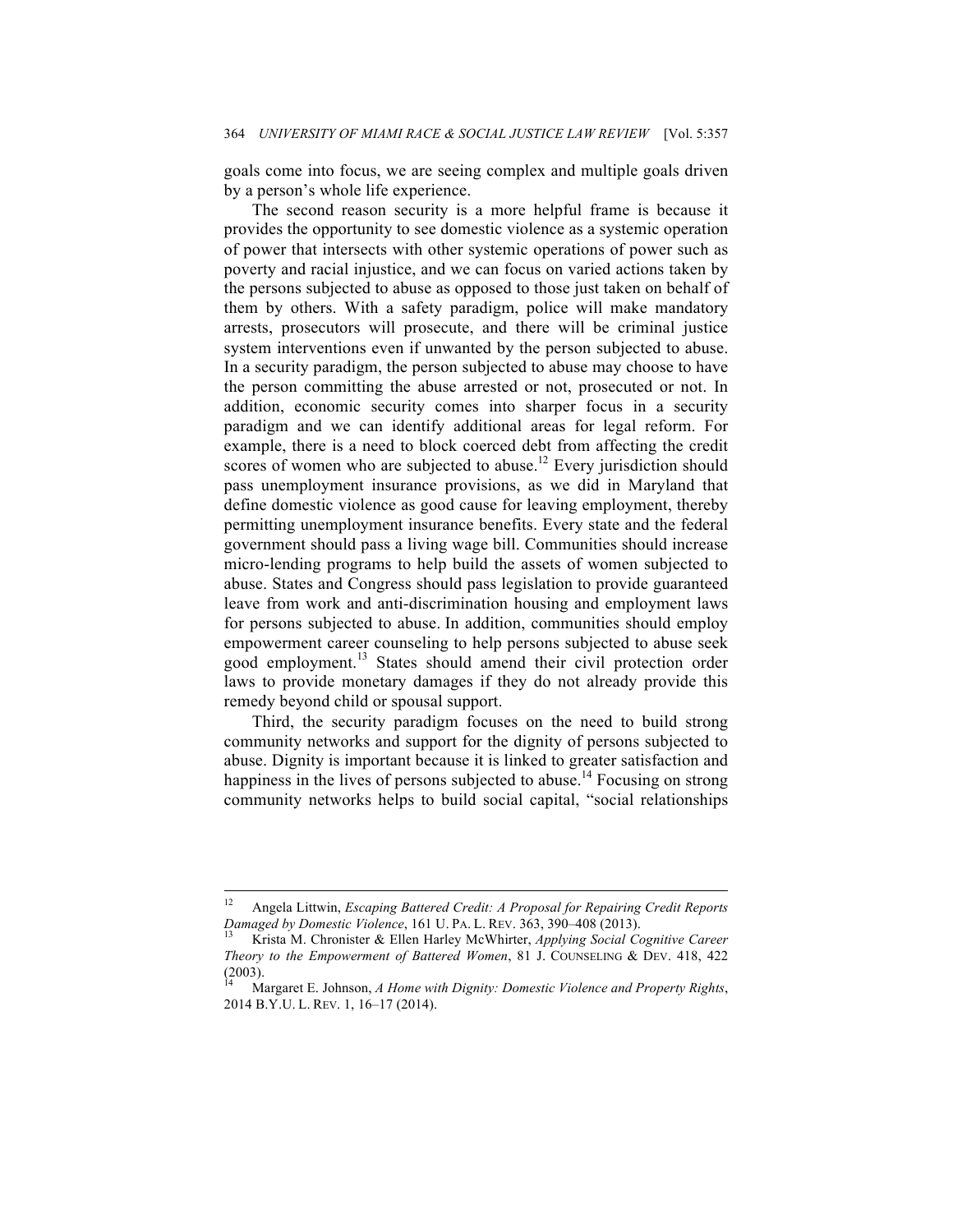goals come into focus, we are seeing complex and multiple goals driven by a person's whole life experience.

The second reason security is a more helpful frame is because it provides the opportunity to see domestic violence as a systemic operation of power that intersects with other systemic operations of power such as poverty and racial injustice, and we can focus on varied actions taken by the persons subjected to abuse as opposed to those just taken on behalf of them by others. With a safety paradigm, police will make mandatory arrests, prosecutors will prosecute, and there will be criminal justice system interventions even if unwanted by the person subjected to abuse. In a security paradigm, the person subjected to abuse may choose to have the person committing the abuse arrested or not, prosecuted or not. In addition, economic security comes into sharper focus in a security paradigm and we can identify additional areas for legal reform. For example, there is a need to block coerced debt from affecting the credit scores of women who are subjected to abuse.<sup>12</sup> Every jurisdiction should pass unemployment insurance provisions, as we did in Maryland that define domestic violence as good cause for leaving employment, thereby permitting unemployment insurance benefits. Every state and the federal government should pass a living wage bill. Communities should increase micro-lending programs to help build the assets of women subjected to abuse. States and Congress should pass legislation to provide guaranteed leave from work and anti-discrimination housing and employment laws for persons subjected to abuse. In addition, communities should employ empowerment career counseling to help persons subjected to abuse seek good employment.<sup>13</sup> States should amend their civil protection order laws to provide monetary damages if they do not already provide this remedy beyond child or spousal support.

Third, the security paradigm focuses on the need to build strong community networks and support for the dignity of persons subjected to abuse. Dignity is important because it is linked to greater satisfaction and happiness in the lives of persons subjected to abuse.<sup>14</sup> Focusing on strong community networks helps to build social capital, "social relationships

 <sup>12</sup> Angela Littwin, *Escaping Battered Credit: A Proposal for Repairing Credit Reports Damaged by Domestic Violence*, 161 U. PA. L. REV. 363, 390–408 (2013).<br><sup>13</sup> Krista M. Chronister & Ellen Harley McWhirter, *Applying Social Cognitive Career* 

*Theory to the Empowerment of Battered Women*, 81 J. COUNSELING & DEV. 418, 422 (2003).

<sup>14</sup> Margaret E. Johnson, *A Home with Dignity: Domestic Violence and Property Rights*, 2014 B.Y.U. L. REV. 1, 16–17 (2014).